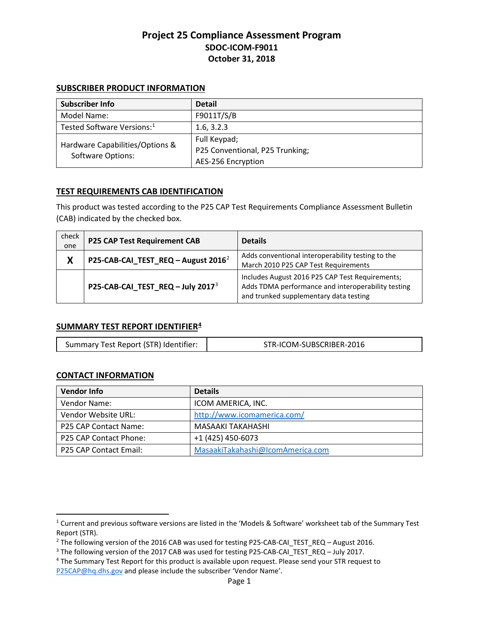### **SUBSCRIBER PRODUCT INFORMATION**

| Subscriber Info                                             | <b>Detail</b>                   |
|-------------------------------------------------------------|---------------------------------|
| Model Name:                                                 | F9011T/S/B                      |
| Tested Software Versions: <sup>1</sup>                      | 1.6, 3.2.3                      |
| Hardware Capabilities/Options &<br><b>Software Options:</b> | Full Keypad;                    |
|                                                             | P25 Conventional, P25 Trunking; |
|                                                             | AES-256 Encryption              |

## **TEST REQUIREMENTS CAB IDENTIFICATION**

This product was tested according to the P25 CAP Test Requirements Compliance Assessment Bulletin (CAB) indicated by the checked box.

| check<br>one | <b>P25 CAP Test Requirement CAB</b>             | <b>Details</b>                                                                                                                                  |
|--------------|-------------------------------------------------|-------------------------------------------------------------------------------------------------------------------------------------------------|
| X            | P25-CAB-CAI_TEST_REQ - August 2016 <sup>2</sup> | Adds conventional interoperability testing to the<br>March 2010 P25 CAP Test Requirements                                                       |
|              | P25-CAB-CAI_TEST_REQ - July 2017 <sup>3</sup>   | Includes August 2016 P25 CAP Test Requirements;<br>Adds TDMA performance and interoperability testing<br>and trunked supplementary data testing |

### **SUMMARY TEST REPORT IDENTIFIER[4](#page-0-3)**

| Summary Test Report (STR) Identifier: | STR-ICOM-SUBSCRIBER-2016 |
|---------------------------------------|--------------------------|
|---------------------------------------|--------------------------|

### **CONTACT INFORMATION**

 $\overline{\phantom{a}}$ 

| <b>Vendor Info</b>     | <b>Details</b>                   |
|------------------------|----------------------------------|
| Vendor Name:           | ICOM AMERICA, INC.               |
| Vendor Website URL:    | http://www.icomamerica.com/      |
| P25 CAP Contact Name:  | MASAAKI TAKAHASHI                |
| P25 CAP Contact Phone: | +1 (425) 450-6073                |
| P25 CAP Contact Email: | MasaakiTakahashi@IcomAmerica.com |

<span id="page-0-0"></span><sup>1</sup> Current and previous software versions are listed in the 'Models & Software' worksheet tab of the Summary Test Report (STR).

<span id="page-0-2"></span><span id="page-0-1"></span><sup>&</sup>lt;sup>2</sup> The following version of the 2016 CAB was used for testing P25-CAB-CAI\_TEST\_REQ – August 2016.<br><sup>3</sup> The following version of the 2017 CAB was used for testing P25-CAB-CAI\_TEST\_REQ – July 2017.<br><sup>4</sup> The Summary Test Repo

<span id="page-0-3"></span>[P25CAP@hq.dhs.gov](mailto:P25CAP@hq.dhs.gov?subject=Request%20%3e%20ICOM%20F9011T/S/B%20STR) and please include the subscriber 'Vendor Name'.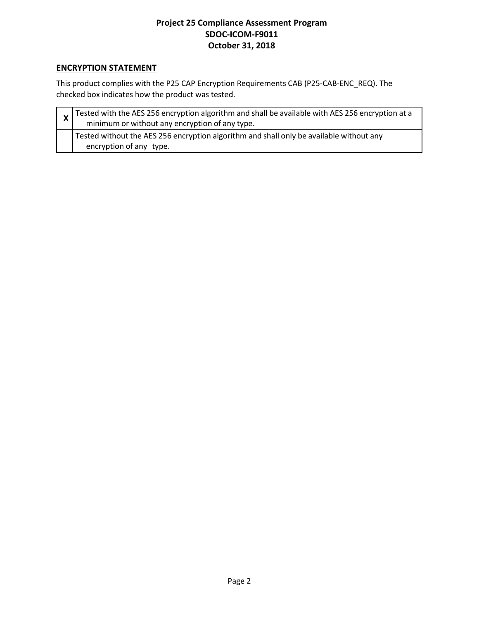# **ENCRYPTION STATEMENT**

This product complies with the P25 CAP Encryption Requirements CAB (P25-CAB-ENC\_REQ). The checked box indicates how the product was tested.

| $\frac{1}{x}$ Tested with the AES 256 encryption algorithm and shall be available with AES 256 encryption at a<br>minimum or without any encryption of any type. |
|------------------------------------------------------------------------------------------------------------------------------------------------------------------|
| Tested without the AES 256 encryption algorithm and shall only be available without any<br>encryption of any type.                                               |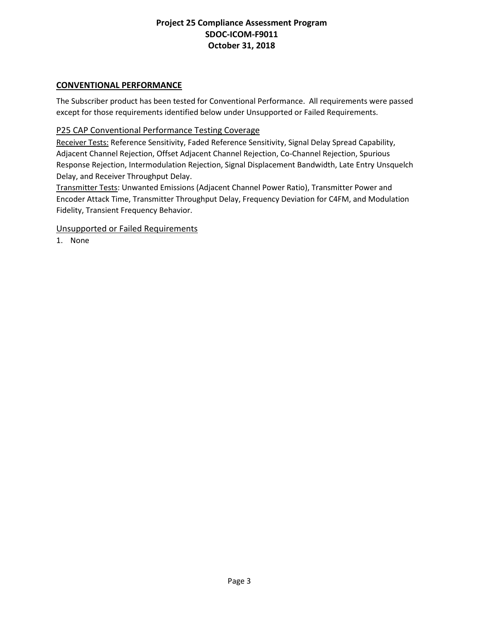## **CONVENTIONAL PERFORMANCE**

The Subscriber product has been tested for Conventional Performance. All requirements were passed except for those requirements identified below under Unsupported or Failed Requirements.

## P25 CAP Conventional Performance Testing Coverage

Receiver Tests: Reference Sensitivity, Faded Reference Sensitivity, Signal Delay Spread Capability, Adjacent Channel Rejection, Offset Adjacent Channel Rejection, Co-Channel Rejection, Spurious Response Rejection, Intermodulation Rejection, Signal Displacement Bandwidth, Late Entry Unsquelch Delay, and Receiver Throughput Delay.

Transmitter Tests: Unwanted Emissions (Adjacent Channel Power Ratio), Transmitter Power and Encoder Attack Time, Transmitter Throughput Delay, Frequency Deviation for C4FM, and Modulation Fidelity, Transient Frequency Behavior.

### Unsupported or Failed Requirements

1. None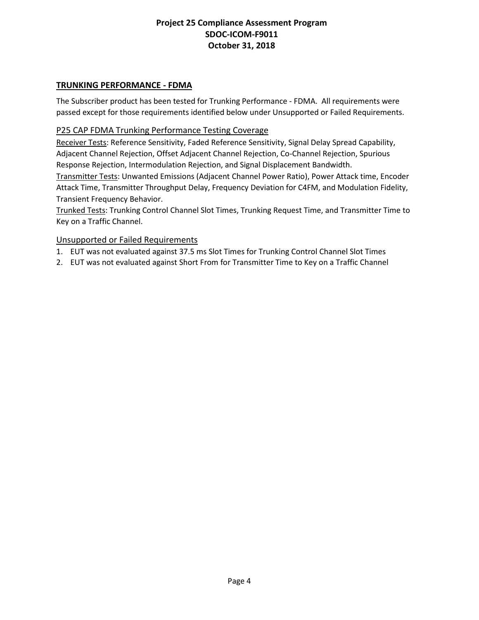## **TRUNKING PERFORMANCE - FDMA**

The Subscriber product has been tested for Trunking Performance - FDMA. All requirements were passed except for those requirements identified below under Unsupported or Failed Requirements.

### P25 CAP FDMA Trunking Performance Testing Coverage

Receiver Tests: Reference Sensitivity, Faded Reference Sensitivity, Signal Delay Spread Capability, Adjacent Channel Rejection, Offset Adjacent Channel Rejection, Co-Channel Rejection, Spurious Response Rejection, Intermodulation Rejection, and Signal Displacement Bandwidth.

Transmitter Tests: Unwanted Emissions (Adjacent Channel Power Ratio), Power Attack time, Encoder Attack Time, Transmitter Throughput Delay, Frequency Deviation for C4FM, and Modulation Fidelity, Transient Frequency Behavior.

Trunked Tests: Trunking Control Channel Slot Times, Trunking Request Time, and Transmitter Time to Key on a Traffic Channel.

### Unsupported or Failed Requirements

- 1. EUT was not evaluated against 37.5 ms Slot Times for Trunking Control Channel Slot Times
- 2. EUT was not evaluated against Short From for Transmitter Time to Key on a Traffic Channel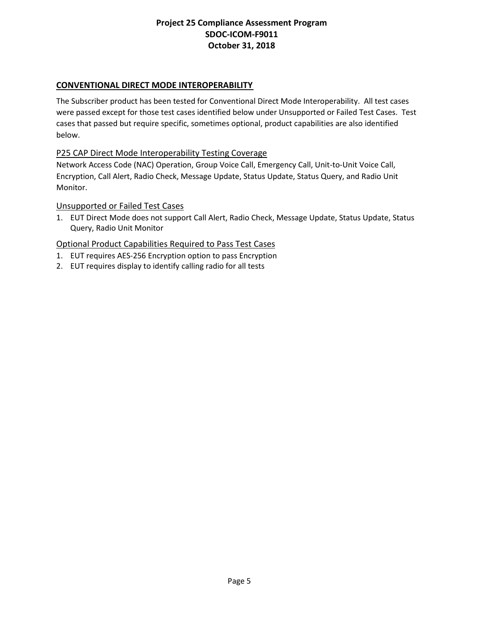# **CONVENTIONAL DIRECT MODE INTEROPERABILITY**

The Subscriber product has been tested for Conventional Direct Mode Interoperability. All test cases were passed except for those test cases identified below under Unsupported or Failed Test Cases. Test cases that passed but require specific, sometimes optional, product capabilities are also identified below.

### P25 CAP Direct Mode Interoperability Testing Coverage

Network Access Code (NAC) Operation, Group Voice Call, Emergency Call, Unit-to-Unit Voice Call, Encryption, Call Alert, Radio Check, Message Update, Status Update, Status Query, and Radio Unit Monitor.

### Unsupported or Failed Test Cases

1. EUT Direct Mode does not support Call Alert, Radio Check, Message Update, Status Update, Status Query, Radio Unit Monitor

- 1. EUT requires AES-256 Encryption option to pass Encryption
- 2. EUT requires display to identify calling radio for all tests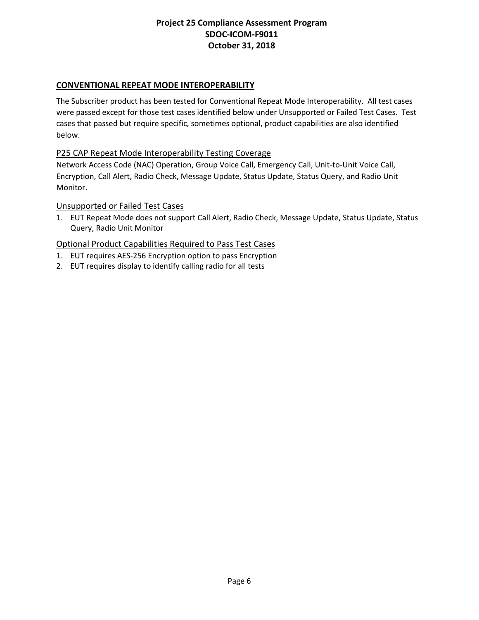# **CONVENTIONAL REPEAT MODE INTEROPERABILITY**

The Subscriber product has been tested for Conventional Repeat Mode Interoperability. All test cases were passed except for those test cases identified below under Unsupported or Failed Test Cases. Test cases that passed but require specific, sometimes optional, product capabilities are also identified below.

### P25 CAP Repeat Mode Interoperability Testing Coverage

Network Access Code (NAC) Operation, Group Voice Call, Emergency Call, Unit-to-Unit Voice Call, Encryption, Call Alert, Radio Check, Message Update, Status Update, Status Query, and Radio Unit Monitor.

### Unsupported or Failed Test Cases

1. EUT Repeat Mode does not support Call Alert, Radio Check, Message Update, Status Update, Status Query, Radio Unit Monitor

- 1. EUT requires AES-256 Encryption option to pass Encryption
- 2. EUT requires display to identify calling radio for all tests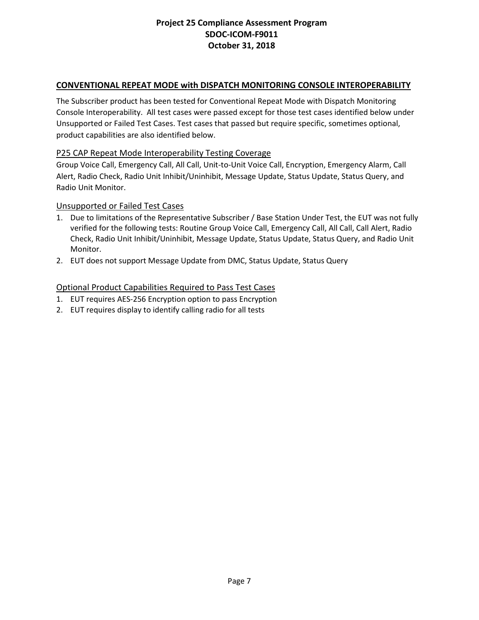## **CONVENTIONAL REPEAT MODE with DISPATCH MONITORING CONSOLE INTEROPERABILITY**

The Subscriber product has been tested for Conventional Repeat Mode with Dispatch Monitoring Console Interoperability. All test cases were passed except for those test cases identified below under Unsupported or Failed Test Cases. Test cases that passed but require specific, sometimes optional, product capabilities are also identified below.

### P25 CAP Repeat Mode Interoperability Testing Coverage

Group Voice Call, Emergency Call, All Call, Unit-to-Unit Voice Call, Encryption, Emergency Alarm, Call Alert, Radio Check, Radio Unit Inhibit/Uninhibit, Message Update, Status Update, Status Query, and Radio Unit Monitor.

#### Unsupported or Failed Test Cases

- 1. Due to limitations of the Representative Subscriber / Base Station Under Test, the EUT was not fully verified for the following tests: Routine Group Voice Call, Emergency Call, All Call, Call Alert, Radio Check, Radio Unit Inhibit/Uninhibit, Message Update, Status Update, Status Query, and Radio Unit Monitor.
- 2. EUT does not support Message Update from DMC, Status Update, Status Query

- 1. EUT requires AES-256 Encryption option to pass Encryption
- 2. EUT requires display to identify calling radio for all tests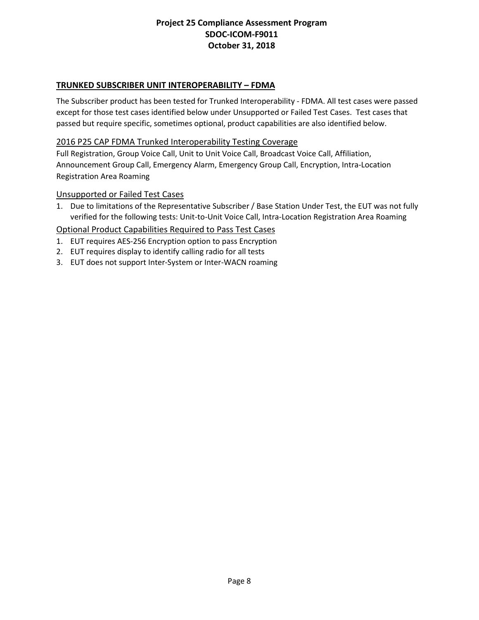# **TRUNKED SUBSCRIBER UNIT INTEROPERABILITY – FDMA**

The Subscriber product has been tested for Trunked Interoperability - FDMA. All test cases were passed except for those test cases identified below under Unsupported or Failed Test Cases. Test cases that passed but require specific, sometimes optional, product capabilities are also identified below.

### 2016 P25 CAP FDMA Trunked Interoperability Testing Coverage

Full Registration, Group Voice Call, Unit to Unit Voice Call, Broadcast Voice Call, Affiliation, Announcement Group Call, Emergency Alarm, Emergency Group Call, Encryption, Intra-Location Registration Area Roaming

### Unsupported or Failed Test Cases

1. Due to limitations of the Representative Subscriber / Base Station Under Test, the EUT was not fully verified for the following tests: Unit-to-Unit Voice Call, Intra-Location Registration Area Roaming

- 1. EUT requires AES-256 Encryption option to pass Encryption
- 2. EUT requires display to identify calling radio for all tests
- 3. EUT does not support Inter-System or Inter-WACN roaming